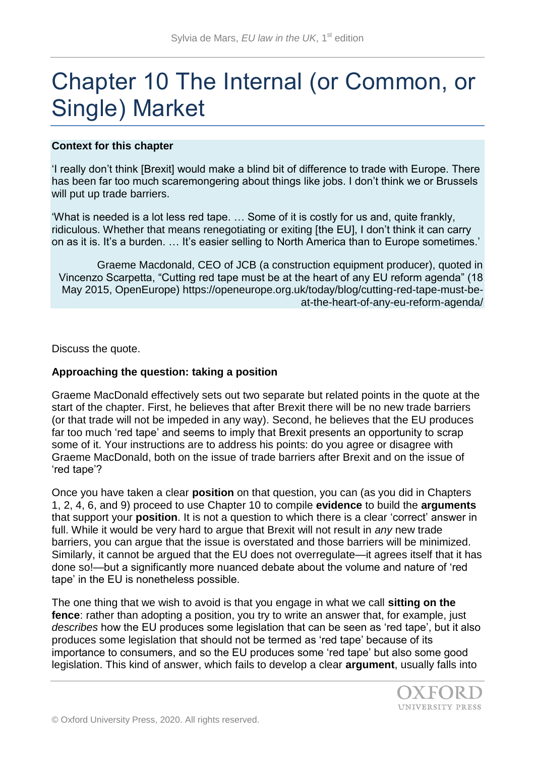# Chapter 10 The Internal (or Common, or Single) Market

## **Context for this chapter**

'I really don't think [Brexit] would make a blind bit of difference to trade with Europe. There has been far too much scaremongering about things like jobs. I don't think we or Brussels will put up trade barriers.

'What is needed is a lot less red tape. … Some of it is costly for us and, quite frankly, ridiculous. Whether that means renegotiating or exiting [the EU], I don't think it can carry on as it is. It's a burden. … It's easier selling to North America than to Europe sometimes.'

Graeme Macdonald, CEO of JCB (a construction equipment producer), quoted in Vincenzo Scarpetta, "Cutting red tape must be at the heart of any EU reform agenda" (18 May 2015, OpenEurope) https://openeurope.org.uk/today/blog/cutting-red-tape-must-beat-the-heart-of-any-eu-reform-agenda/

Discuss the quote.

#### **Approaching the question: taking a position**

Graeme MacDonald effectively sets out two separate but related points in the quote at the start of the chapter. First, he believes that after Brexit there will be no new trade barriers (or that trade will not be impeded in any way). Second, he believes that the EU produces far too much 'red tape' and seems to imply that Brexit presents an opportunity to scrap some of it. Your instructions are to address his points: do you agree or disagree with Graeme MacDonald, both on the issue of trade barriers after Brexit and on the issue of 'red tape'?

Once you have taken a clear **position** on that question, you can (as you did in Chapters 1, 2, 4, 6, and 9) proceed to use Chapter 10 to compile **evidence** to build the **arguments**  that support your **position**. It is not a question to which there is a clear 'correct' answer in full. While it would be very hard to argue that Brexit will not result in *any* new trade barriers, you can argue that the issue is overstated and those barriers will be minimized. Similarly, it cannot be argued that the EU does not overregulate—it agrees itself that it has done so!—but a significantly more nuanced debate about the volume and nature of 'red tape' in the EU is nonetheless possible.

The one thing that we wish to avoid is that you engage in what we call **sitting on the fence**: rather than adopting a position, you try to write an answer that, for example, just *describes* how the EU produces some legislation that can be seen as 'red tape', but it also produces some legislation that should not be termed as 'red tape' because of its importance to consumers, and so the EU produces some 'red tape' but also some good legislation. This kind of answer, which fails to develop a clear **argument**, usually falls into

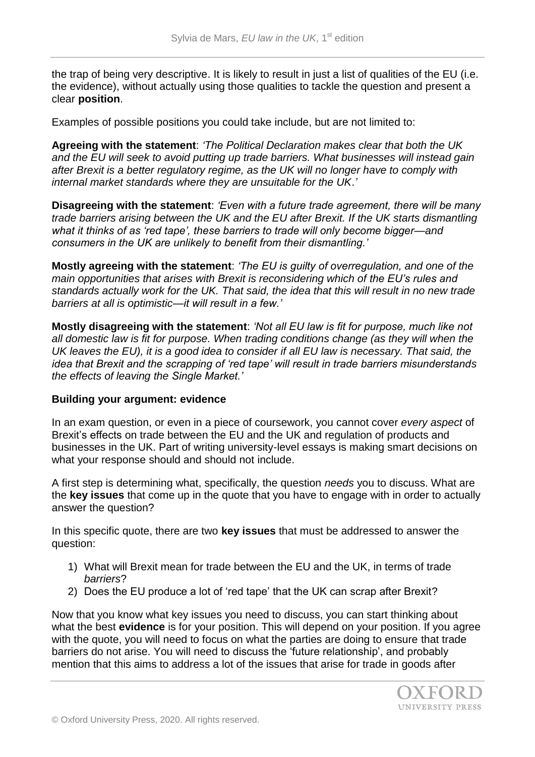the trap of being very descriptive. It is likely to result in just a list of qualities of the EU (i.e. the evidence), without actually using those qualities to tackle the question and present a clear **position**.

Examples of possible positions you could take include, but are not limited to:

**Agreeing with the statement**: *'The Political Declaration makes clear that both the UK and the EU will seek to avoid putting up trade barriers. What businesses will instead gain after Brexit is a better regulatory regime, as the UK will no longer have to comply with internal market standards where they are unsuitable for the UK*.*'*

**Disagreeing with the statement**: *'Even with a future trade agreement, there will be many trade barriers arising between the UK and the EU after Brexit. If the UK starts dismantling what it thinks of as 'red tape', these barriers to trade will only become bigger—and consumers in the UK are unlikely to benefit from their dismantling.'* 

**Mostly agreeing with the statement**: *'The EU is guilty of overregulation, and one of the main opportunities that arises with Brexit is reconsidering which of the EU's rules and standards actually work for the UK. That said, the idea that this will result in no new trade barriers at all is optimistic—it will result in a few.'*

**Mostly disagreeing with the statement**: *'Not all EU law is fit for purpose, much like not all domestic law is fit for purpose. When trading conditions change (as they will when the UK leaves the EU), it is a good idea to consider if all EU law is necessary. That said, the idea that Brexit and the scrapping of 'red tape' will result in trade barriers misunderstands the effects of leaving the Single Market.'*

#### **Building your argument: evidence**

In an exam question, or even in a piece of coursework, you cannot cover *every aspect* of Brexit's effects on trade between the EU and the UK and regulation of products and businesses in the UK. Part of writing university-level essays is making smart decisions on what your response should and should not include.

A first step is determining what, specifically, the question *needs* you to discuss. What are the **key issues** that come up in the quote that you have to engage with in order to actually answer the question?

In this specific quote, there are two **key issues** that must be addressed to answer the question:

- 1) What will Brexit mean for trade between the EU and the UK, in terms of trade *barriers*?
- 2) Does the EU produce a lot of 'red tape' that the UK can scrap after Brexit?

Now that you know what key issues you need to discuss, you can start thinking about what the best **evidence** is for your position. This will depend on your position. If you agree with the quote, you will need to focus on what the parties are doing to ensure that trade barriers do not arise. You will need to discuss the 'future relationship', and probably mention that this aims to address a lot of the issues that arise for trade in goods after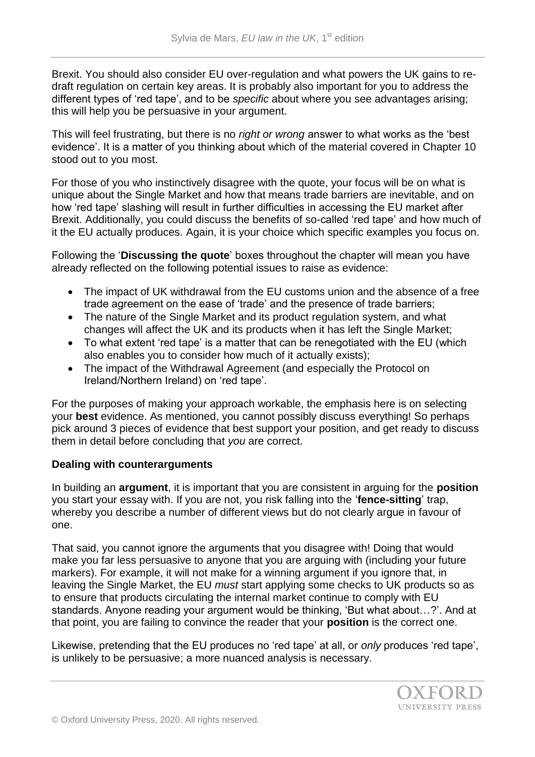Brexit. You should also consider EU over-regulation and what powers the UK gains to redraft regulation on certain key areas. It is probably also important for you to address the different types of 'red tape', and to be *specific* about where you see advantages arising; this will help you be persuasive in your argument.

This will feel frustrating, but there is no *right or wrong* answer to what works as the 'best evidence'. It is a matter of you thinking about which of the material covered in Chapter 10 stood out to you most.

For those of you who instinctively disagree with the quote, your focus will be on what is unique about the Single Market and how that means trade barriers are inevitable, and on how 'red tape' slashing will result in further difficulties in accessing the EU market after Brexit. Additionally, you could discuss the benefits of so-called 'red tape' and how much of it the EU actually produces. Again, it is your choice which specific examples you focus on.

Following the '**Discussing the quote**' boxes throughout the chapter will mean you have already reflected on the following potential issues to raise as evidence:

- The impact of UK withdrawal from the EU customs union and the absence of a free trade agreement on the ease of 'trade' and the presence of trade barriers;
- The nature of the Single Market and its product regulation system, and what changes will affect the UK and its products when it has left the Single Market;
- To what extent 'red tape' is a matter that can be renegotiated with the EU (which also enables you to consider how much of it actually exists);
- The impact of the Withdrawal Agreement (and especially the Protocol on Ireland/Northern Ireland) on 'red tape'.

For the purposes of making your approach workable, the emphasis here is on selecting your **best** evidence. As mentioned, you cannot possibly discuss everything! So perhaps pick around 3 pieces of evidence that best support your position, and get ready to discuss them in detail before concluding that *you* are correct.

# **Dealing with counterarguments**

In building an **argument**, it is important that you are consistent in arguing for the **position**  you start your essay with. If you are not, you risk falling into the '**fence-sitting**' trap, whereby you describe a number of different views but do not clearly argue in favour of one.

That said, you cannot ignore the arguments that you disagree with! Doing that would make you far less persuasive to anyone that you are arguing with (including your future markers). For example, it will not make for a winning argument if you ignore that, in leaving the Single Market, the EU *must* start applying some checks to UK products so as to ensure that products circulating the internal market continue to comply with EU standards. Anyone reading your argument would be thinking, 'But what about…?'. And at that point, you are failing to convince the reader that your **position** is the correct one.

Likewise, pretending that the EU produces no 'red tape' at all, or *only* produces 'red tape', is unlikely to be persuasive; a more nuanced analysis is necessary.